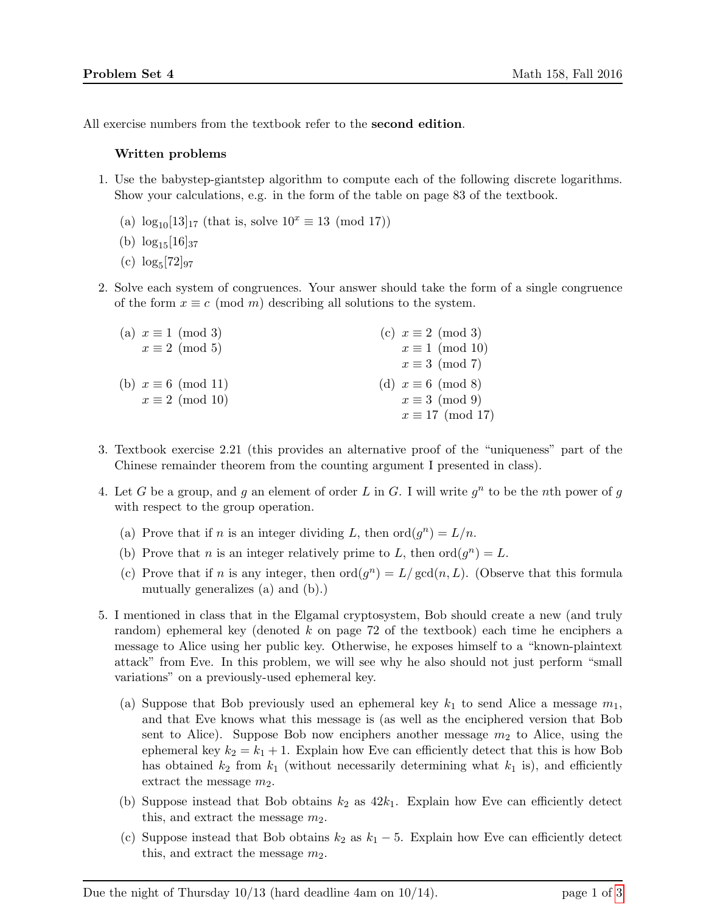All exercise numbers from the textbook refer to the second edition.

## Written problems

- 1. Use the babystep-giantstep algorithm to compute each of the following discrete logarithms. Show your calculations, e.g. in the form of the table on page 83 of the textbook.
	- (a)  $\log_{10}[13]_{17}$  (that is, solve  $10^x \equiv 13 \pmod{17}$ )
	- (b)  $\log_{15}[16]_{37}$
	- $(c) \log_5[72]_{97}$
- 2. Solve each system of congruences. Your answer should take the form of a single congruence of the form  $x \equiv c \pmod{m}$  describing all solutions to the system.

| (a) $x \equiv 1 \pmod{3}$  | (c) $x \equiv 2 \pmod{3}$ |
|----------------------------|---------------------------|
| $x \equiv 2 \pmod{5}$      | $x \equiv 1 \pmod{10}$    |
|                            | $x \equiv 3 \pmod{7}$     |
| (b) $x \equiv 6 \pmod{11}$ | (d) $x \equiv 6 \pmod{8}$ |
| $x \equiv 2 \pmod{10}$     | $x \equiv 3 \pmod{9}$     |
|                            | $x \equiv 17 \pmod{17}$   |

- 3. Textbook exercise 2.21 (this provides an alternative proof of the "uniqueness" part of the Chinese remainder theorem from the counting argument I presented in class).
- 4. Let G be a group, and g an element of order L in G. I will write  $g^n$  to be the nth power of g with respect to the group operation.
	- (a) Prove that if *n* is an integer dividing L, then  $\text{ord}(g^n) = L/n$ .
	- (b) Prove that *n* is an integer relatively prime to L, then  $\text{ord}(g^n) = L$ .
	- (c) Prove that if n is any integer, then  $\text{ord}(g^n) = L/\text{gcd}(n, L)$ . (Observe that this formula mutually generalizes (a) and (b).)
- <span id="page-0-0"></span>5. I mentioned in class that in the Elgamal cryptosystem, Bob should create a new (and truly random) ephemeral key (denoted k on page 72 of the textbook) each time he enciphers a message to Alice using her public key. Otherwise, he exposes himself to a "known-plaintext attack" from Eve. In this problem, we will see why he also should not just perform "small variations" on a previously-used ephemeral key.
	- (a) Suppose that Bob previously used an ephemeral key  $k_1$  to send Alice a message  $m_1$ , and that Eve knows what this message is (as well as the enciphered version that Bob sent to Alice). Suppose Bob now enciphers another message  $m_2$  to Alice, using the ephemeral key  $k_2 = k_1 + 1$ . Explain how Eve can efficiently detect that this is how Bob has obtained  $k_2$  from  $k_1$  (without necessarily determining what  $k_1$  is), and efficiently extract the message  $m_2$ .
	- (b) Suppose instead that Bob obtains  $k_2$  as  $42k_1$ . Explain how Eve can efficiently detect this, and extract the message  $m_2$ .
	- (c) Suppose instead that Bob obtains  $k_2$  as  $k_1 5$ . Explain how Eve can efficiently detect this, and extract the message  $m_2$ .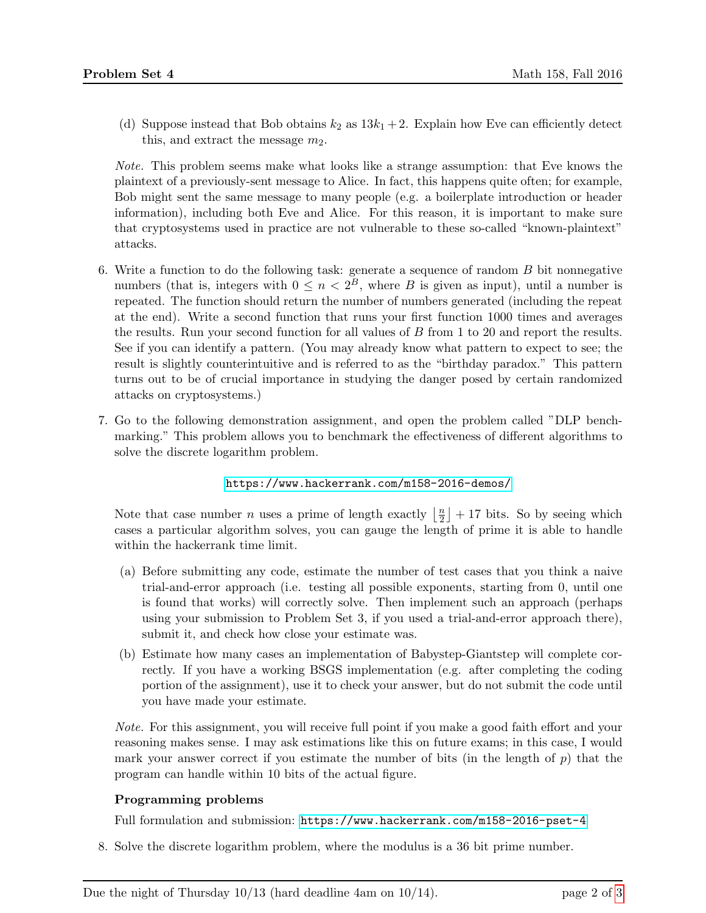(d) Suppose instead that Bob obtains  $k_2$  as  $13k_1 + 2$ . Explain how Eve can efficiently detect this, and extract the message  $m_2$ .

Note. This problem seems make what looks like a strange assumption: that Eve knows the plaintext of a previously-sent message to Alice. In fact, this happens quite often; for example, Bob might sent the same message to many people (e.g. a boilerplate introduction or header information), including both Eve and Alice. For this reason, it is important to make sure that cryptosystems used in practice are not vulnerable to these so-called "known-plaintext" attacks.

- 6. Write a function to do the following task: generate a sequence of random B bit nonnegative numbers (that is, integers with  $0 \leq n < 2^B$ , where B is given as input), until a number is repeated. The function should return the number of numbers generated (including the repeat at the end). Write a second function that runs your first function 1000 times and averages the results. Run your second function for all values of B from 1 to 20 and report the results. See if you can identify a pattern. (You may already know what pattern to expect to see; the result is slightly counterintuitive and is referred to as the "birthday paradox." This pattern turns out to be of crucial importance in studying the danger posed by certain randomized attacks on cryptosystems.)
- 7. Go to the following demonstration assignment, and open the problem called "DLP benchmarking." This problem allows you to benchmark the effectiveness of different algorithms to solve the discrete logarithm problem.

## <https://www.hackerrank.com/m158-2016-demos/>

Note that case number *n* uses a prime of length exactly  $\frac{n}{2}$  $\frac{n}{2}$  + 17 bits. So by seeing which cases a particular algorithm solves, you can gauge the length of prime it is able to handle within the hackerrank time limit.

- (a) Before submitting any code, estimate the number of test cases that you think a naive trial-and-error approach (i.e. testing all possible exponents, starting from 0, until one is found that works) will correctly solve. Then implement such an approach (perhaps using your submission to Problem Set 3, if you used a trial-and-error approach there), submit it, and check how close your estimate was.
- (b) Estimate how many cases an implementation of Babystep-Giantstep will complete correctly. If you have a working BSGS implementation (e.g. after completing the coding portion of the assignment), use it to check your answer, but do not submit the code until you have made your estimate.

Note. For this assignment, you will receive full point if you make a good faith effort and your reasoning makes sense. I may ask estimations like this on future exams; in this case, I would mark your answer correct if you estimate the number of bits (in the length of  $p$ ) that the program can handle within 10 bits of the actual figure.

## Programming problems

Full formulation and submission: <https://www.hackerrank.com/m158-2016-pset-4>

8. Solve the discrete logarithm problem, where the modulus is a 36 bit prime number.